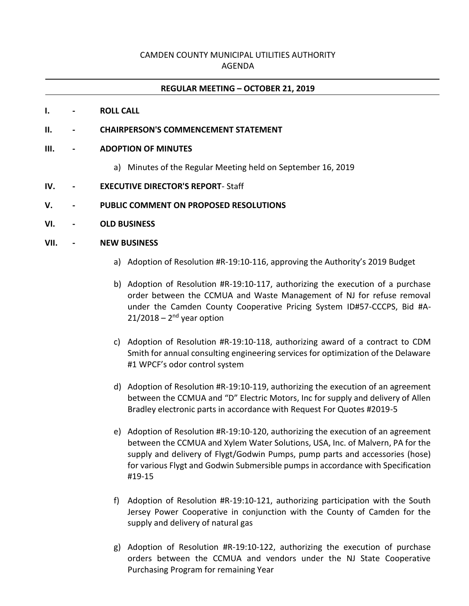# CAMDEN COUNTY MUNICIPAL UTILITIES AUTHORITY AGENDA

## **REGULAR MEETING – OCTOBER 21, 2019**

#### **I. - ROLL CALL**

**II. - CHAIRPERSON'S COMMENCEMENT STATEMENT**

### **III. - ADOPTION OF MINUTES**

- a) Minutes of the Regular Meeting held on September 16, 2019
- **IV. - EXECUTIVE DIRECTOR'S REPORT** Staff
- **V. - PUBLIC COMMENT ON PROPOSED RESOLUTIONS**
- **VI. - OLD BUSINESS**

### **VII. - NEW BUSINESS**

- a) Adoption of Resolution #R-19:10-116, approving the Authority's 2019 Budget
- b) Adoption of Resolution #R-19:10-117, authorizing the execution of a purchase order between the CCMUA and Waste Management of NJ for refuse removal under the Camden County Cooperative Pricing System ID#57-CCCPS, Bid #A-21/2018 – 2<sup>nd</sup> year option
- c) Adoption of Resolution #R-19:10-118, authorizing award of a contract to CDM Smith for annual consulting engineering services for optimization of the Delaware #1 WPCF's odor control system
- d) Adoption of Resolution #R-19:10-119, authorizing the execution of an agreement between the CCMUA and "D" Electric Motors, Inc for supply and delivery of Allen Bradley electronic parts in accordance with Request For Quotes #2019-5
- e) Adoption of Resolution #R-19:10-120, authorizing the execution of an agreement between the CCMUA and Xylem Water Solutions, USA, Inc. of Malvern, PA for the supply and delivery of Flygt/Godwin Pumps, pump parts and accessories (hose) for various Flygt and Godwin Submersible pumps in accordance with Specification #19-15
- f) Adoption of Resolution #R-19:10-121, authorizing participation with the South Jersey Power Cooperative in conjunction with the County of Camden for the supply and delivery of natural gas
- g) Adoption of Resolution #R-19:10-122, authorizing the execution of purchase orders between the CCMUA and vendors under the NJ State Cooperative Purchasing Program for remaining Year